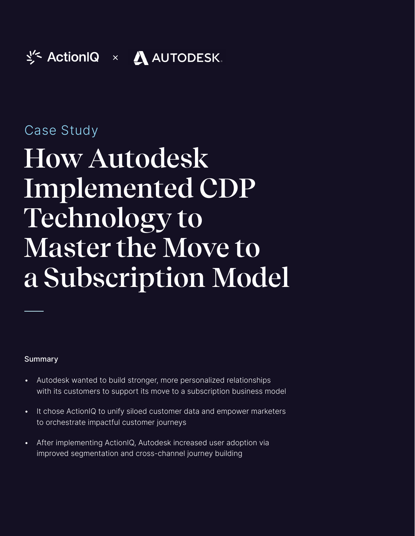# Case Study

# **How Autodesk Implemented CDP Technology to Master the Move to a Subscription Model**

#### Summary

- Autodesk wanted to build stronger, more personalized relationships with its customers to support its move to a subscription business model
- It chose ActionIQ to unify siloed customer data and empower marketers to orchestrate impactful customer journeys
- After implementing ActionIQ, Autodesk increased user adoption via improved segmentation and cross-channel journey building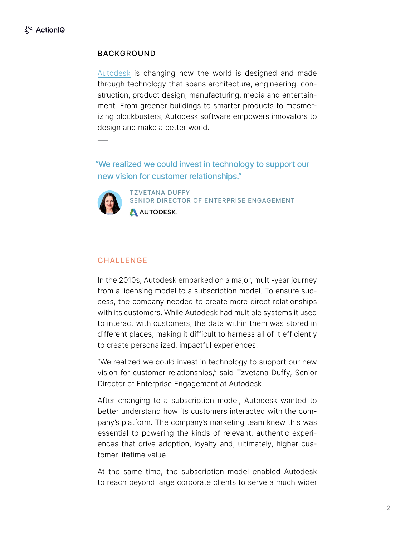#### BACKGROUND

[Autodesk](https://www.autodesk.com/) is changing how the world is designed and made through technology that spans architecture, engineering, construction, product design, manufacturing, media and entertainment. From greener buildings to smarter products to mesmerizing blockbusters, Autodesk software empowers innovators to design and make a better world.

"We realized we could invest in technology to support our new vision for customer relationships."



TZVETANA DUFFY SENIOR DIRECTOR OF ENTERPRISE ENGAGEMENT AUTODESK.

#### **CHALLENGE**

In the 2010s, Autodesk embarked on a major, multi-year journey from a licensing model to a subscription model. To ensure success, the company needed to create more direct relationships with its customers. While Autodesk had multiple systems it used to interact with customers, the data within them was stored in different places, making it difficult to harness all of it efficiently to create personalized, impactful experiences.

"We realized we could invest in technology to support our new vision for customer relationships," said Tzvetana Duffy, Senior Director of Enterprise Engagement at Autodesk.

After changing to a subscription model, Autodesk wanted to better understand how its customers interacted with the company's platform. The company's marketing team knew this was essential to powering the kinds of relevant, authentic experiences that drive adoption, loyalty and, ultimately, higher customer lifetime value.

At the same time, the subscription model enabled Autodesk to reach beyond large corporate clients to serve a much wider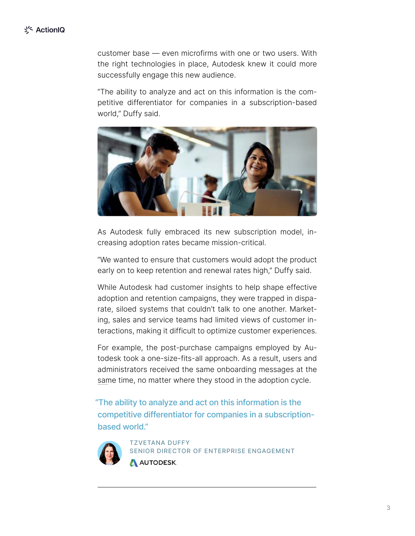customer base — even microfirms with one or two users. With the right technologies in place, Autodesk knew it could more successfully engage this new audience.

"The ability to analyze and act on this information is the competitive differentiator for companies in a subscription-based world," Duffy said.



As Autodesk fully embraced its new subscription model, increasing adoption rates became mission-critical.

"We wanted to ensure that customers would adopt the product early on to keep retention and renewal rates high," Duffy said.

While Autodesk had customer insights to help shape effective adoption and retention campaigns, they were trapped in disparate, siloed systems that couldn't talk to one another. Marketing, sales and service teams had limited views of customer interactions, making it difficult to optimize customer experiences.

For example, the post-purchase campaigns employed by Autodesk took a one-size-fits-all approach. As a result, users and administrators received the same onboarding messages at the same time, no matter where they stood in the adoption cycle.

"The ability to analyze and act on this information is the competitive differentiator for companies in a subscriptionbased world."



TZVETANA DUFFY SENIOR DIRECTOR OF ENTERPRISE ENGAGEMENT **AUTODESK.**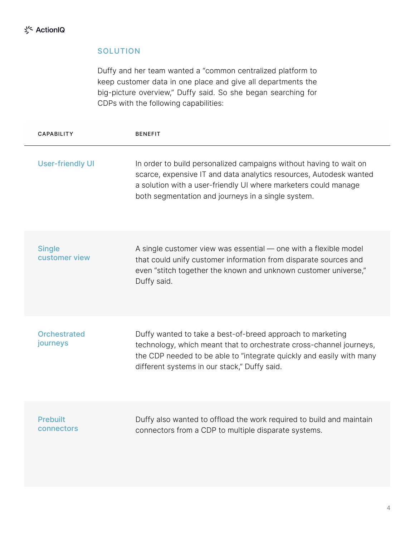#### **SOLUTION**

Duffy and her team wanted a "common centralized platform to keep customer data in one place and give all departments the big-picture overview," Duffy said. So she began searching for CDPs with the following capabilities:

| <b>CAPABILITY</b>               | <b>BENEFIT</b>                                                                                                                                                                                                                                                    |
|---------------------------------|-------------------------------------------------------------------------------------------------------------------------------------------------------------------------------------------------------------------------------------------------------------------|
| <b>User-friendly UI</b>         | In order to build personalized campaigns without having to wait on<br>scarce, expensive IT and data analytics resources, Autodesk wanted<br>a solution with a user-friendly UI where marketers could manage<br>both segmentation and journeys in a single system. |
| <b>Single</b><br>customer view  | A single customer view was essential - one with a flexible model<br>that could unify customer information from disparate sources and<br>even "stitch together the known and unknown customer universe,"<br>Duffy said.                                            |
| <b>Orchestrated</b><br>journeys | Duffy wanted to take a best-of-breed approach to marketing<br>technology, which meant that to orchestrate cross-channel journeys,<br>the CDP needed to be able to "integrate quickly and easily with many<br>different systems in our stack," Duffy said.         |
| <b>Prebuilt</b><br>connectors   | Duffy also wanted to offload the work required to build and maintain<br>connectors from a CDP to multiple disparate systems.                                                                                                                                      |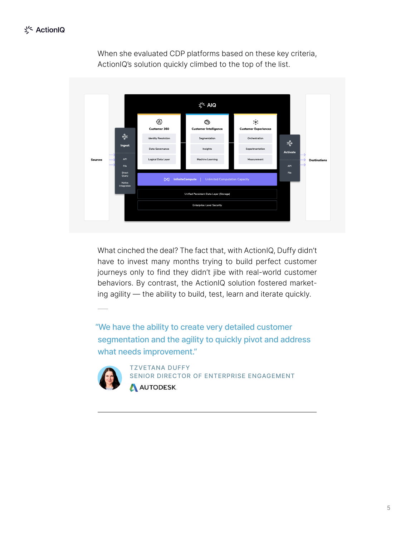

When she evaluated CDP platforms based on these key criteria, ActionIQ's solution quickly climbed to the top of the list.

What cinched the deal? The fact that, with ActionIQ, Duffy didn't have to invest many months trying to build perfect customer journeys only to find they didn't jibe with real-world customer behaviors. By contrast, the ActionIQ solution fostered marketing agility — the ability to build, test, learn and iterate quickly.

"We have the ability to create very detailed customer segmentation and the agility to quickly pivot and address what needs improvement."



TZVETANA DUFFY SENIOR DIRECTOR OF ENTERPRISE ENGAGEMENT A AUTODESK.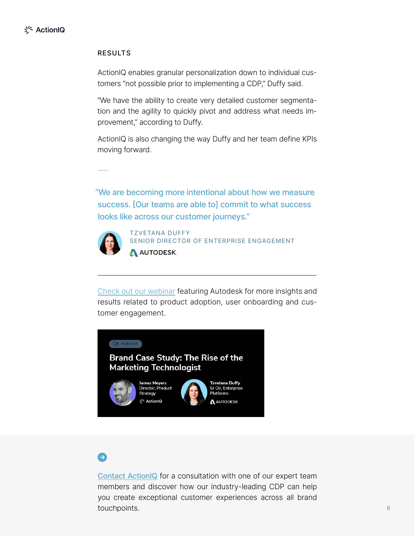#### RESULTS

ActionIQ enables granular personalization down to individual customers "not possible prior to implementing a CDP," Duffy said.

"We have the ability to create very detailed customer segmentation and the agility to quickly pivot and address what needs improvement," according to Duffy.

ActionIQ is also changing the way Duffy and her team define KPIs moving forward.

"We are becoming more intentional about how we measure success. [Our teams are able to] commit to what success looks like across our customer journeys."



TZVETANA DUFFY SENIOR DIRECTOR OF ENTERPRISE ENGAGEMENT A AUTODESK.

[Check out our webinar](https://www.actioniq.com/resources/webinar-rise-of-the-marketing-technologist-autodesk-2/) featuring Autodesk for more insights and results related to product adoption, user onboarding and customer engagement.



## Θ

[Contact ActionIQ](https://www.actioniq.com/customer-data-platform-demo/) for a consultation with one of our expert team members and discover how our industry-leading CDP can help you create exceptional customer experiences across all brand touchpoints.